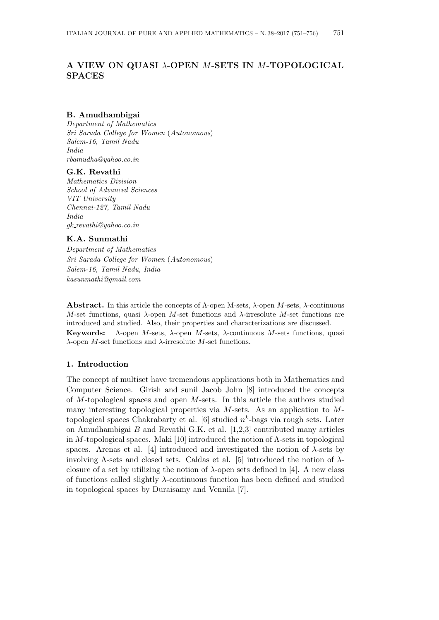# **A VIEW ON QUASI** *λ***-OPEN** *M***-SETS IN** *M***-TOPOLOGICAL SPACES**

### **B. Amudhambigai**

*Department of Mathematics Sri Sarada College for Women* (*Autonomous*) *Salem-16, Tamil Nadu India rbamudha@yahoo.co.in*

#### **G.K. Revathi**

*Mathematics Division School of Advanced Sciences VIT University Chennai-127, Tamil Nadu India gk revathi@yahoo.co.in*

## **K.A. Sunmathi**

*Department of Mathematics Sri Sarada College for Women* (*Autonomous*) *Salem-16, Tamil Nadu, India kasunmathi@gmail.com*

**Abstract.** In this article the concepts of Λ-open M-sets, *λ*-open *M*-sets, *λ*-continuous *M*-set functions, quasi *λ*-open *M*-set functions and *λ*-irresolute *M*-set functions are introduced and studied. Also, their properties and characterizations are discussed. **Keywords:** Λ-open *M*-sets, *λ*-open *M*-sets, *λ*-continuous *M*-sets functions, quasi *λ*-open *M*-set functions and *λ*-irresolute *M*-set functions.

## **1. Introduction**

The concept of multiset have tremendous applications both in Mathematics and Computer Science. Girish and sunil Jacob John [8] introduced the concepts of *M*-topological spaces and open *M*-sets. In this article the authors studied many interesting topological properties via *M*-sets. As an application to *M*topological spaces Chakrabarty et al. [6] studied *n k* -bags via rough sets. Later on Amudhambigai *B* and Revathi G.K. et al. [1,2,3] contributed many articles in *M*-topological spaces. Maki [10] introduced the notion of Λ-sets in topological spaces. Arenas et al. [4] introduced and investigated the notion of  $\lambda$ -sets by involving Λ-sets and closed sets. Caldas et al. [5] introduced the notion of *λ*closure of a set by utilizing the notion of *λ*-open sets defined in [4]. A new class of functions called slightly *λ*-continuous function has been defined and studied in topological spaces by Duraisamy and Vennila [7].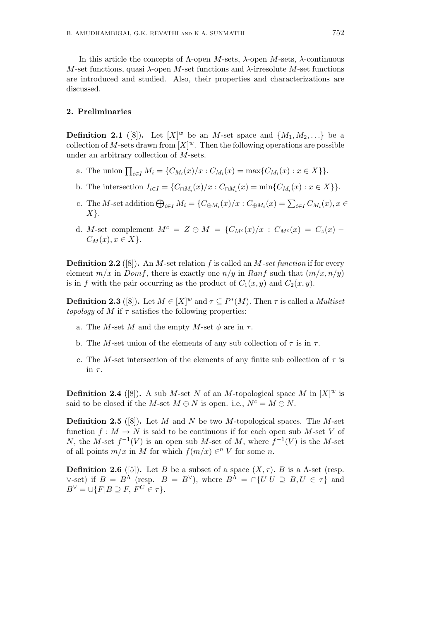In this article the concepts of Λ-open *M*-sets, *λ*-open *M*-sets, *λ*-continuous *M*-set functions, quasi *λ*-open *M*-set functions and *λ*-irresolute *M*-set functions are introduced and studied. Also, their properties and characterizations are discussed.

### **2. Preliminaries**

**Definition 2.1** ([8]). Let  $[X]^w$  be an *M*-set space and  $\{M_1, M_2, ...\}$  be a collection of M-sets drawn from  $[X]^w$ . Then the following operations are possible under an arbitrary collection of *M*-sets.

- a. The union  $\prod_{i \in I} M_i = \{C_{M_i}(x)/x : C_{M_i}(x) = \max\{C_{M_i}(x) : x \in X\}\}.$
- b. The intersection  $I_{i \in I} = \{C_{\cap M_i}(x)/x : C_{\cap M_i}(x) = \min\{C_{M_i}(x) : x \in X\}\}.$
- c. The M-set addition  $\bigoplus_{i\in I} M_i = \{C_{\oplus M_i}(x)/x : C_{\oplus M_i}(x) = \sum_{i\in I} C_{M_i}(x), x \in$ *X}*.
- d. *M*-set complement  $M^c = Z \ominus M = \{C_{M^c}(x)/x : C_{M^c}(x) = C_z(x) C_z(x)\}$  $C_M(x), x \in X$ .

**Definition 2.2** ([8])**.** An *M*-set relation *f* is called an *M-set function* if for every element  $m/x$  in *Domf*, there is exactly one  $n/y$  in *Ranf* such that  $(m/x, n/y)$ is in *f* with the pair occurring as the product of  $C_1(x, y)$  and  $C_2(x, y)$ .

**Definition 2.3** ([8]). Let  $M \in [X]^w$  and  $\tau \subseteq P^*(M)$ . Then  $\tau$  is called a *Multiset topology* of *M* if  $\tau$  satisfies the following properties:

- a. The *M*-set *M* and the empty *M*-set  $\phi$  are in  $\tau$ .
- b. The *M*-set union of the elements of any sub collection of  $\tau$  is in  $\tau$ .
- c. The *M*-set intersection of the elements of any finite sub collection of *τ* is in *τ* .

**Definition 2.4** ([8]). A sub *M*-set *N* of an *M*-topological space *M* in  $[X]^w$  is said to be closed if the *M*-set  $M \ominus N$  is open. i.e.,  $N^c = M \ominus N$ .

**Definition 2.5** ([8])**.** Let *M* and *N* be two *M*-topological spaces. The *M*-set function  $f: M \to N$  is said to be continuous if for each open sub M-set V of *N*, the *M*-set  $f^{-1}(V)$  is an open sub *M*-set of *M*, where  $f^{-1}(V)$  is the *M*-set of all points  $m/x$  in *M* for which  $f(m/x) \in W$  for some *n*.

**Definition 2.6** ([5]). Let *B* be a subset of a space  $(X, \tau)$ *. B* is a  $\Lambda$ -set (resp.  $\vee$ -set) if  $B = B^{\Lambda}$  (resp.  $B = B^{\vee}$ ), where  $B^{\Lambda} = \cap \{U|U \supseteq B, U \in \tau\}$  and  $B^{\vee} = \cup \{F | B \supset F, F^C \in \tau\}.$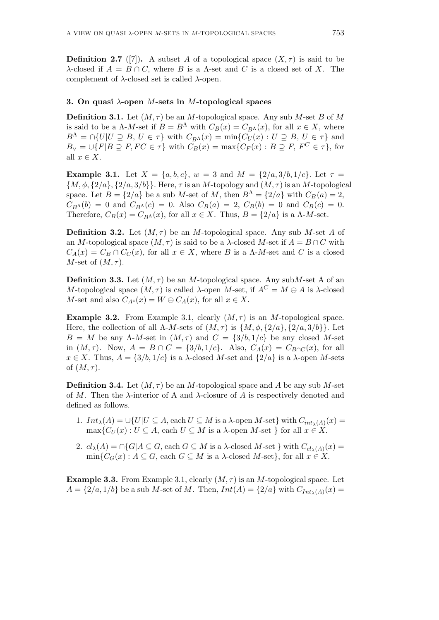**Definition 2.7** ([7]). A subset *A* of a topological space  $(X, \tau)$  is said to be *λ*-closed if  $A = B \cap C$ , where *B* is a *Λ*-set and *C* is a closed set of *X*. The complement of *λ*-closed set is called *λ*-open.

### **3. On quasi** *λ***-open** *M***-sets in** *M***-topological spaces**

**Definition 3.1.** Let  $(M, \tau)$  be an *M*-topological space. Any sub *M*-set *B* of *M* is said to be a  $\Lambda$ -*M*-set if  $B = B^{\Lambda}$  with  $C_B(x) = C_{B^{\Lambda}}(x)$ , for all  $x \in X$ , where  $B^{\Lambda} = \cap \{U|U \supseteq B, U \in \tau\}$  with  $C_{B^{\Lambda}}(x) = \min \{C_U(x) : U \supseteq B, U \in \tau\}$  and  $B_{\vee} = \bigcup \{F | B \supseteq F, FC \in \tau\}$  with  $C_B(x) = \max \{C_F(x) : B \supseteq F, F^C \in \tau\}$ , for all  $x \in X$ .

**Example 3.1.** Let  $X = \{a, b, c\}$ ,  $w = 3$  and  $M = \{2/a, 3/b, 1/c\}$ . Let  $\tau =$ *{M, ϕ, {*2*/a}, {*2*/a,* 3*/b}}.* Here, *τ* is an *M*-topology and (*M, τ* ) is an *M*-topological space. Let  $B = \{2/a\}$  be a sub *M*-set of *M*, then  $B^{\Lambda} = \{2/a\}$  with  $C_B(a) = 2$ ,  $C_{B}(\phi) = 0$  and  $C_{B}(\phi) = 0$ . Also  $C_B(a) = 2$ ,  $C_B(b) = 0$  and  $C_B(c) = 0$ . Therefore,  $C_B(x) = C_{B<sup>\Lambda</sup>}(x)$ , for all  $x \in X$ . Thus,  $B = \{2/a\}$  is a  $\Lambda$ -*M*-set.

**Definition 3.2.** Let  $(M, \tau)$  be an *M*-topological space. Any sub *M*-set *A* of an *M*-topological space  $(M, \tau)$  is said to be a *λ*-closed *M*-set if  $A = B \cap C$  with  $C_A(x) = C_B \cap C_C(x)$ , for all  $x \in X$ , where *B* is a Λ-*M*-set and *C* is a closed *M*-set of (*M, τ* ).

**Definition 3.3.** Let  $(M, \tau)$  be an *M*-topological space. Any sub*M*-set A of an *M*-topological space  $(M, τ)$  is called *λ*-open *M*-set, if  $A<sup>C</sup> = M \ominus A$  is *λ*-closed *M*-set and also  $C_{A}c(x) = W \ominus C_{A}(x)$ , for all  $x \in X$ .

**Example 3.2.** From Example 3.1, clearly  $(M, \tau)$  is an *M*-topological space. Here, the collection of all  $\Lambda$ -*M*-sets of  $(M, \tau)$  is  $\{M, \phi, \{2/a\}, \{2/a, 3/b\}\}\$ . Let *B* = *M* be any Λ-*M*-set in  $(M, τ)$  and  $C = \{3/b, 1/c\}$  be any closed *M*-set in  $(M, \tau)$ . Now,  $A = B \cap C = \{3/b, 1/c\}$ . Also,  $C_A(x) = C_{B \cap C}(x)$ , for all  $x \in X$ . Thus,  $A = \{3/b, 1/c\}$  is a *λ*-closed *M*-set and  $\{2/a\}$  is a *λ*-open *M*-sets of  $(M, \tau)$ .

**Definition 3.4.** Let  $(M, \tau)$  be an *M*-topological space and *A* be any sub *M*-set of *M*. Then the *λ*-interior of A and *λ*-closure of *A* is respectively denoted and defined as follows.

- 1.  $Int_{\lambda}(A) = \cup \{U | U \subseteq A, \text{ each } U \subseteq M \text{ is a } \lambda \text{-open } M \text{-set} \}$  with  $C_{int_{\lambda}(A)}(x) =$  $\max\{C_U(x): U \subseteq A$ , each  $U \subseteq M$  is a *λ*-open *M*-set *}* for all  $x \in X$ .
- 2.  $cl_{\lambda}(A) = \bigcap \{G | A \subseteq G, \text{each } G \subseteq M \text{ is a } \lambda \text{-closed } M \text{-set } \}$  with  $C_{cl_{\lambda}(A)}(x) =$  $\min\{C_G(x): A \subseteq G$ , each  $G \subseteq M$  is a  $\lambda$ -closed  $M$ -set $\}$ , for all  $x \in X$ .

**Example 3.3.** From Example 3.1, clearly  $(M, \tau)$  is an *M*-topological space. Let  $A = \{2/a, 1/b\}$  be a sub *M*-set of *M*. Then,  $Int(A) = \{2/a\}$  with  $C_{Int_{\lambda}(A)}(x) =$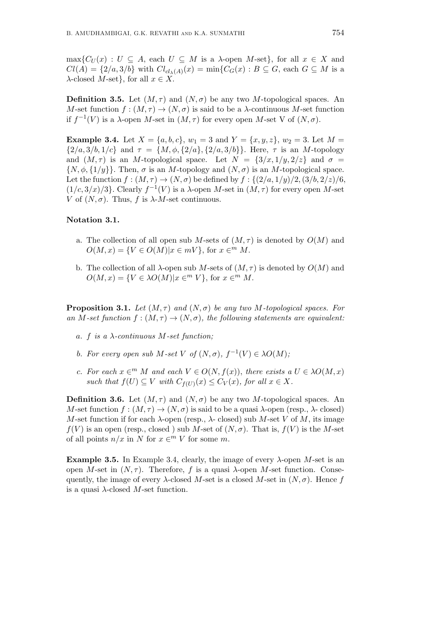$\max\{C_U(x): U \subseteq A$ , each  $U \subseteq M$  is a *λ*-open *M*-set}, for all  $x \in X$  and  $Cl(A) = \{2/a, 3/b\}$  with  $Cl_{cl_{\lambda}(A)}(x) = \min\{C_G(x) : B \subseteq G, \text{ each } G \subseteq M \text{ is a }$ *λ*-closed *M*-set}, for all  $x \in X$ .

**Definition 3.5.** Let  $(M, \tau)$  and  $(N, \sigma)$  be any two *M*-topological spaces. An *M*-set function  $f : (M, \tau) \to (N, \sigma)$  is said to be a *λ*-continuous *M*-set function if  $f^{-1}(V)$  is a *λ*-open *M*-set in  $(M, \tau)$  for every open *M*-set V of  $(N, \sigma)$ .

**Example 3.4.** Let  $X = \{a, b, c\}$ ,  $w_1 = 3$  and  $Y = \{x, y, z\}$ ,  $w_2 = 3$ . Let  $M =$  $\{2/a, 3/b, 1/c\}$  and  $\tau = \{M, \phi, \{2/a\}, \{2/a, 3/b\}\}\$ . Here,  $\tau$  is an *M*-topology and  $(M, \tau)$  is an *M*-topological space. Let  $N = \{3/x, 1/y, 2/z\}$  and  $\sigma =$  $\{N, \phi, \{1/y\}\}\$ . Then,  $\sigma$  is an *M*-topology and  $(N, \sigma)$  is an *M*-topological space. Let the function  $f : (M, \tau) \to (N, \sigma)$  be defined by  $f : \{(2/a, 1/y)/2, (3/b, 2/z)/6,$  $(1/c, 3/x)/3$ <sup>}</sup>. Clearly  $f^{-1}(V)$  is a *λ*-open *M*-set in  $(M, \tau)$  for every open *M*-set *V* of  $(N, \sigma)$ . Thus, *f* is  $\lambda$ -*M*-set continuous.

## **Notation 3.1.**

- a. The collection of all open sub *M*-sets of  $(M, \tau)$  is denoted by  $O(M)$  and  $O(M, x) = \{ V \in O(M) | x \in mV \}$ , for  $x \in M$ .
- b. The collection of all  $\lambda$ -open sub *M*-sets of  $(M, \tau)$  is denoted by  $O(M)$  and  $O(M, x) = \{ V \in \lambda O(M) | x \in \{m \mid V\} \}$ , for  $x \in \{m \mid M\}$ .

**Proposition 3.1.** *Let*  $(M, \tau)$  *and*  $(N, \sigma)$  *be any two*  $M$ *-topological spaces. For an*  $M$ -set function  $f : (M, \tau) \to (N, \sigma)$ , the following statements are equivalent:

- *a. f is a λ-continuous M-set function;*
- *b. For every open sub*  $M$ *-set*  $V$  *of*  $(N, \sigma)$ *,*  $f^{-1}(V) \in \lambda O(M)$ *;*
- *c.* For each  $x \in M$  *M* and each  $V \in O(N, f(x))$ , there exists a  $U \in \lambda O(M, x)$ *such that*  $f(U) \subseteq V$  *with*  $C_{f(U)}(x) \leq C_V(x)$ *, for all*  $x \in X$ *.*

**Definition 3.6.** Let  $(M, \tau)$  and  $(N, \sigma)$  be any two *M*-topological spaces. An *M*-set function  $f : (M, \tau) \to (N, \sigma)$  is said to be a quasi  $\lambda$ -open (resp.,  $\lambda$ - closed) *M*-set function if for each  $\lambda$ -open (resp.,  $\lambda$ - closed) sub *M*-set *V* of *M*, its image  $f(V)$  is an open (resp., closed) sub *M*-set of  $(N, \sigma)$ . That is,  $f(V)$  is the *M*-set of all points  $n/x$  in *N* for  $x \in \mathbb{R}^m$  *V* for some *m*.

**Example 3.5.** In Example 3.4, clearly, the image of every *λ*-open *M*-set is an open *M*-set in (*N, τ* ). Therefore, *f* is a quasi *λ*-open *M*-set function. Consequently, the image of every  $\lambda$ -closed *M*-set is a closed *M*-set in  $(N, \sigma)$ . Hence *f* is a quasi *λ*-closed *M*-set function.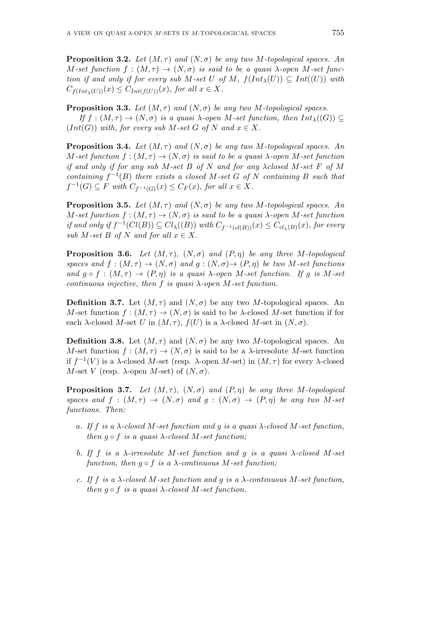**Proposition 3.2.** Let  $(M, \tau)$  and  $(N, \sigma)$  be any two M-topological spaces. An *M*-set function  $f : (M, \tau) \rightarrow (N, \sigma)$  is said to be a quasi  $\lambda$ -open M-set func*tion if and only if for every sub*  $M$ -set  $U$  *of*  $M$ ,  $f(Int_{\lambda}(U)) \subseteq Int((U))$  *with*  $C_{f(int_{\lambda}(U))}(x) \leq C_{Int(f(U))}(x)$ *, for all*  $x \in X$ *.* 

**Proposition 3.3.** *Let*  $(M, \tau)$  *and*  $(N, \sigma)$  *be any two*  $M$ *-topological spaces. If*  $f : (M, \tau) \rightarrow (N, \sigma)$  *is a quasi*  $\lambda$ -open  $M$ -set function, then  $Int_\lambda((G)) \subset$  $(Int(G))$  *with, for every sub*  $M$ *-set*  $G$  *of*  $N$  *and*  $x \in X$ *.* 

**Proposition 3.4.** Let  $(M, \tau)$  and  $(N, \sigma)$  be any two M-topological spaces. An *M*-set function  $f : (M, \tau) \to (N, \sigma)$  *is said to be a quasi*  $\lambda$ -open *M*-set function *if and only if for any sub M-set B of N and for any λclosed M-set F of M containing*  $f^{-1}(B)$  *there exists a closed*  $M$ -set  $G$  *of*  $N$  *containing*  $B$  *such that*  $f^{-1}(G) \subseteq F$  *with*  $C_{f^{-1}(G)}(x) \leq C_F(x)$ , for all  $x \in X$ .

**Proposition 3.5.** *Let*  $(M, \tau)$  *and*  $(N, \sigma)$  *be any two*  $M$ *-topological spaces. An M*-set function  $f:(M,\tau) \to (N,\sigma)$  is said to be a quasi  $\lambda$ -open *M*-set function if and only if  $f^{-1}(Cl(B)) \subseteq Cl_{\lambda}((B))$  with  $C_{f^{-1}(cl(B))}(x) \leq C_{cl_{\lambda}(B)}(x)$ , for every *sub*  $M$ *-set*  $B$  *of*  $N$  *and for all*  $x \in X$ *.* 

**Proposition 3.6.** *Let*  $(M, \tau)$ *,*  $(N, \sigma)$  *and*  $(P, \eta)$  *be any three M-topological spaces and*  $f : (M, \tau) \rightarrow (N, \sigma)$  *and*  $g : (N, \sigma) \rightarrow (P, \eta)$  *be two M*-set functions *and*  $g \circ f : (M, \tau) \to (P, \eta)$  *is a quasi*  $\lambda$ -open *M*-set function. If g is M-set *continuous injective, then f is quasi λ-open M-set function.*

**Definition 3.7.** Let  $(M, \tau)$  and  $(N, \sigma)$  be any two *M*-topological spaces. An *M*-set function  $f : (M, \tau) \to (N, \sigma)$  is said to be  $\lambda$ -closed *M*-set function if for each *λ*-closed *M*-set *U* in  $(M, \tau)$ ,  $f(U)$  is a *λ*-closed *M*-set in  $(N, \sigma)$ .

**Definition 3.8.** Let  $(M, \tau)$  and  $(N, \sigma)$  be any two *M*-topological spaces. An *M*-set function  $f : (M, \tau) \to (N, \sigma)$  is said to be a *λ*-irresolute *M*-set function if  $f^{-1}(V)$  is a *λ*-closed *M*-set (resp. *λ*-open *M*-set) in  $(M, \tau)$  for every *λ*-closed *M*-set *V* (resp. *λ*-open *M*-set) of  $(N, σ)$ .

**Proposition 3.7.** *Let*  $(M, \tau)$ *,*  $(N, \sigma)$  *and*  $(P, \eta)$  *be any three M-topological spaces and*  $f : (M, \tau) \rightarrow (N, \sigma)$  *and*  $g : (N, \sigma) \rightarrow (P, \eta)$  *be any two M*-set *functions. Then:*

- *a. If f is a λ-closed M-set function and g is a quasi λ-closed M-set function, then*  $g \circ f$  *is a quasi*  $\lambda$ -closed  $M$ -set function;
- *b. If f is a λ-irresolute M-set function and g is a quasi λ-closed M-set function, then*  $g \circ f$  *is a*  $\lambda$ -continuous  $M$ -set function;
- *c. If f is a λ-closed M-set function and g is a λ-continuous M-set function, then*  $q \circ f$  *is a quasi*  $\lambda$ -*closed*  $M$ -set function.